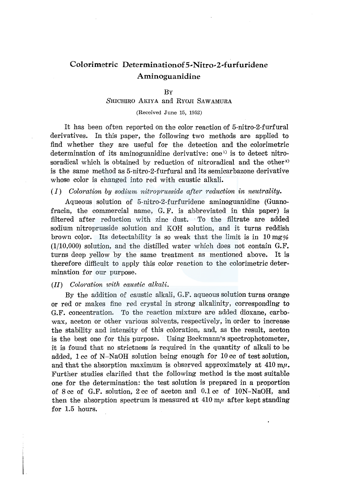# Colorimetric Determinationof 5-Nitro-2-furfuridene Aminoguanidine

## BY

# SHICHIRO AKIYA and RYOJI SAWAMURA

# (Received June 15, 1952)

It has been often reported on the color reaction of 5-nitro-2-furfural derivatives. In this paper, the following two methods are applied to find whether they are useful for the detection and the colorimetric determination of its aminoguanidine derivative: one<sup>1)</sup> is to detect nitrosoradical which is obtained by reduction of nitroradical and the other<sup>2)</sup> is the same method as 5-nitro-2-furfural and its semicarbazone derivative whose color is changed into red with caustic alkali.

# *(I) Coloration by sodium nitroprusside after reduction in neutrality.*

Aqueous solution of 5-nitro-2-furfuridene aminoguanidine (Guanofracin, the commercial name, G. F. is abbreviated in this paper) is filtered after reduction with zinc dust. To the filtrate are added sodium nitroprusside solution and KOH solution, and it turns reddish brown color. Its detectability is so weak that the limit is in  $10 \text{ mg}\%$ (1/10,000) solution, and the distilled water which does not contain G.F. turns deep yellow by the same treatment as mentioned above. It is therefore difficult to apply this color reaction to the colorimetric determination for our purpose.

# *(II) Coloration with caustic alkali.*

By the addition of caustic alkali, G.F. aqueous solution turns orange or red or makes fine red crystal in strong alkalinity, corresponding to G.F. concentration. To the reaction mixture are added dioxane, carbowax, aceton or other various solvents, respectively, in order to increase the stability and intensity of this coloration, and, as the result, aceton is the best one for this purpose. Using Beckmann's spectrophotometer, it is found that no strictness is required in the quantity of alkali to be added, 1 cc of N-NaOH solution being enough for 10 cc of test solution, and that the absorption maximum is observed approximately at  $410 \text{ m}\mu$ . Further studies clarified that the following method is the most suitable one for the determination: the test solution is prepared in a proportion of 8 cc of G.F. solution, 2 cc of aceton and 0.1 cc of lON-NaOH, and then the absorption spectrum is measured at  $410 \text{ m}$  after kept standing for 1.5 hours,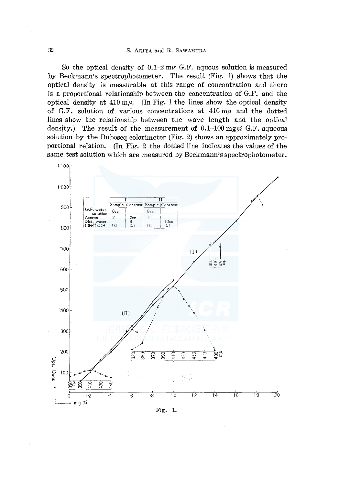So the optical density of  $0.1-2$  mg G.F. aguous solution is measured by Beckmann's spectrophotometer. The result (Fig. 1) shows that the optical density is measurable at this range of concentration and there is a proportional relationship between the concentration of G.F. and the optical density at  $410 \text{ m}\mu$ . (In Fig. 1 the lines show the optical density of G.F. solution of various concentrations at  $410 \text{ m}\mu$  and the dotted lines show the relationship between the wave length and the optical density.) The result of the measurement of  $0.1-100$  mg% G.F. aqueous solution by the Duboscq colorimeter (Fig. 2) shows an approximately proportional relation. (In Fig. 2 the dotted line indicates the values of the same test solution which are measured by Beckmann's spectrophotometer.



Fig. 1.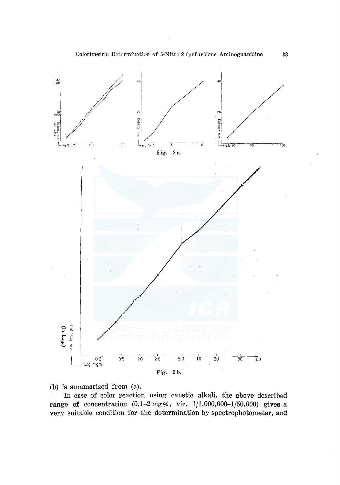

(b) is summarized from (a).

In case of color reaction using caustic alkali, the above described range of concentration  $(0.1-2 \text{ mg\%})$ , viz.  $1/1,000,000-1/50,000)$  gives a very suitable condition for the determination by spectrophotometer, and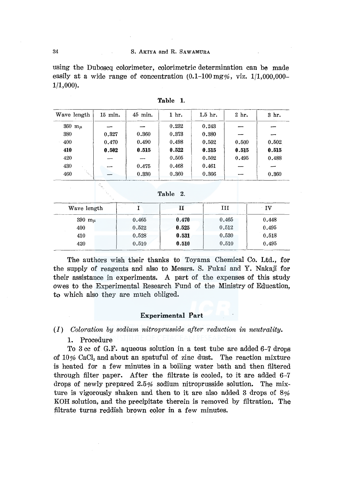#### 34 S. AKIYA and R. SAWAMURA

using the Duboscq colorimeter, colorimetric determination can be made easily at a wide range of concentration  $(0.1-100 \text{ mg\%}, \text{ viz. } 1/1,000,000-$ 1/1,000).

| Wave length       | $15$ min. | $45$ min. | 1 hr. | $1.5$ hr. | 2 hr. | 3 hr. |
|-------------------|-----------|-----------|-------|-----------|-------|-------|
| $360~\text{m}\mu$ |           |           | 0.232 | 0.243     |       |       |
| 380               | 0.327     | 0.360     | 0.373 | 0.380     |       |       |
| 400               | 0.470     | 0.490     | 0.498 | 0.502     | 0.500 | 0.502 |
| 410               | 0.502     | 0.515     | 0.522 | 0.515     | 0.515 | 0.515 |
| 420               |           |           | 0.505 | 0.502     | 0.495 | 0.488 |
| 430               |           | 0.475     | 0.468 | 0.461     |       |       |
| У.,<br>460        |           | 0.330     | 0.360 | 0.366     |       | 0.360 |

Table **1.** 

| 2. |
|----|
|    |

| Wave length | 19.99 |       | ш     | IV    |  |
|-------------|-------|-------|-------|-------|--|
| 390 $m_\mu$ | 0.465 | 0.470 | 0.465 | 0.448 |  |
| 400         | 0.522 | 0.525 | 0.512 | 0.495 |  |
| 410         | 0.528 | 0.531 | 0.530 | 0.518 |  |
| 420         | 0.510 | 0.510 | 0.510 | 0.495 |  |

The authors wish their thanks to Toyama Chemical Co. Ltd., for the supply of reagents and also to Messrs. S. Fukai and Y. Nakaji for their assistance in experiments. A part of the expenses of this study owes to the Experimental Research Fund of the Ministry of Education, to which also they are much obliged.

# **Experimental Part**

(I) *Coloration by sodium nitroprusside after reduction in neutrality.* 

1. Procedure

To 3 cc of G.F. aqueous solution in a test tube are added 6-7 drops of  $10\%$  CaCl<sub>2</sub> and about an spatuful of zinc dust. The reaction mixture is heated for a few minutes in a boiling water bath and then filtered through filter paper. After the filtrate is cooled, to it are added 6-7 drops of newly prepared 2.5% sodium nitroprusside solution. The mixture is vigorously shaken and then to it are also added 3 drops of 8% KOH solution, and the precipitate therein is removed by filtration. The filtrate turns reddish brown color in a few minutes.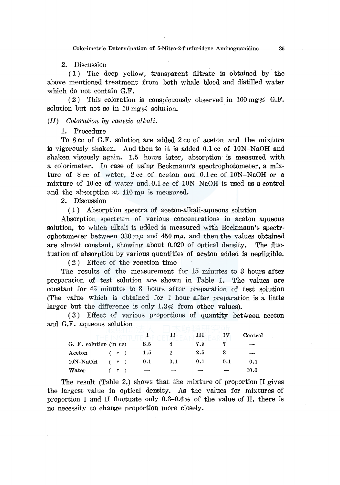Colorimetric Determination of 5-Nitro-2-furfuridene Aminoguanidine 35

2. Discussion

( 1) The deep yellow, transparent filtrate is obtained by the above mentioned treatment from both whale blood and distilled water which do not contain G.F.

( 2) This coloration is conspicuously observed in 100 mg% G.F. solution but not so in 10 mg% solution.

# *(II) Coloration by caustic alkali.*

1. Procedure

To 8 cc of G.F. solution are added 2 cc of aceton and the mixture is vigorously shaken. And then to it is added 0.1 cc of lON-NaOH and shaken vigously again. 1.5 hours later, absorption is measured with a colorimeter. In case of using Beckmann's spectrophotometer, a mixture of 8 cc of water, 2 cc of aceton and 0.1 cc of lON-NaOH or a mixture of 10 cc of water and. 0.1 cc of lON-NaOH is used as a control and the absorption at  $410 \text{ m}\mu$  is measured.

2. Discussion

( 1) Absorption spectra of aceton-alkali-aqueous solution

Absorption spectrum of various concentrations in aceton aqueous solution, to which alkali is added is measured with Beckmann's spectrophotometer between 330 m $\mu$  and 450 m $\mu$ , and then the values obtained are almost constant, showing about 0.020 of optical density. The fluctuation of absorption by various quantities of aceton added is negligible.

( 2 ) Effect of the reaction time

The results of the measurement for 15 minutes to 3 hours after preparation of test solution are shown in Table 1. The values are constant for 45 minutes to 3 hours after preparation of test solution (The value which is obtained for 1 hour after preparation is a little larger but the difference is only 1.3% from other values).

( 3 ) Effect of various proportions of quantity between aceton and G.F. aqueous solution

|                        |             |     |     | ш   |     | Control  |
|------------------------|-------------|-----|-----|-----|-----|----------|
| G. F. solution (in cc) |             | 8.5 |     | 7.5 |     |          |
| $\rm{\textbf{A}ceton}$ | (n)         | 1.5 | 2   | 2.5 |     |          |
| $10N-NaOH$             | (y)         | 0.1 | 0.1 | 0.1 | 0.1 | 0.1      |
| Water                  | $^{\prime}$ |     |     |     |     | $10.0\,$ |

The result (Table 2.) shows that the mixture of proportion II gives the largest value in optical density. As the values for mixtures of proportion I and II fluctuate only  $0.3{\text -}0.6\%$  of the value of II, there is no necessity to change proportion more closely.